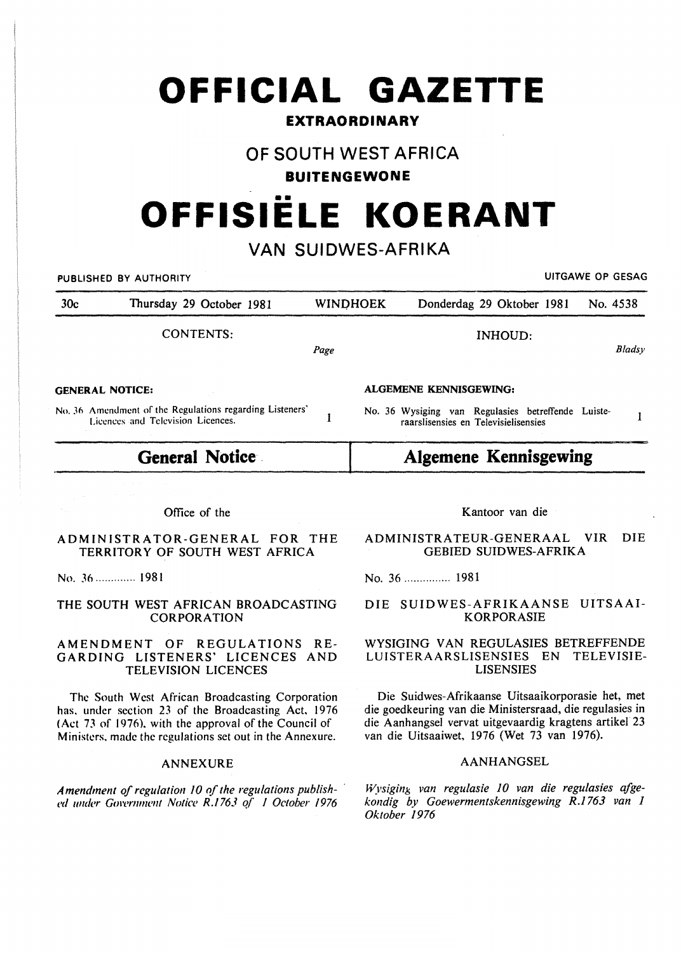## **OFFICIAL GAZETTE**

### **EXTRAORDINARY**

## **OF SOUTH WEST AFRICA**

#### **BUITENGEWONE**

# •• **OFFISIELE KOERANT**

## **VAN SUIDWES-AFRIKA**

|                                                                                                                         | UITGAWE OP GESAG<br>PUBLISHED BY AUTHORITY                              |           |                                                                                                                             |                                                                                           |            |  |
|-------------------------------------------------------------------------------------------------------------------------|-------------------------------------------------------------------------|-----------|-----------------------------------------------------------------------------------------------------------------------------|-------------------------------------------------------------------------------------------|------------|--|
| 30 <sub>c</sub>                                                                                                         | Thursday 29 October 1981                                                |           | <b>WINDHOEK</b>                                                                                                             | Donderdag 29 Oktober 1981                                                                 | No. 4538   |  |
|                                                                                                                         | CONTENTS:                                                               | Page      |                                                                                                                             | <b>INHOUD:</b>                                                                            | Bladsy     |  |
| <b>GENERAL NOTICE:</b><br>No. 36 Amendment of the Regulations regarding Listeners'<br>Licences and Television Licences. |                                                                         |           | <b>ALGEMENE KENNISGEWING:</b><br>No. 36 Wysiging van Regulasies betreffende Luiste-<br>raarslisensies en Televisielisensies |                                                                                           |            |  |
| General Notice                                                                                                          |                                                                         |           | <b>Algemene Kennisgewing</b>                                                                                                |                                                                                           |            |  |
|                                                                                                                         | Office of the<br><b><i><u>EXISTENTE LTAR AFILIPRAT</u></i></b><br>r o n | ማን የ የ የግ |                                                                                                                             | Kantoor van die<br><b>UID</b><br>$\lambda$ Desites a triting $\alpha$ perton $\lambda$ at | <b>DIE</b> |  |

#### ADMINISTRATOR-GENERAL FOR THE TERRITORY OF SOUTH WEST AFRICA

No. J6 ............. 1981

#### THE SOUTH WEST AFRICAN BROADCASTING CORPORATION

#### AMENDMENT OF REGULATIONS RE-GARDING LISTENERS' LICENCES AND TELEVISION LICENCES

The South West African Broadcasting Corporation has. under section 23 of the Broadcasting Act, 1976 (Act 73 of 1976), with the approval of the Council of Ministers. made the regulations set out in the Annexure.

#### ANNEXURE

*Amendment of regulation 10 of the regulations published under Gm·enmu•nt Notice R./763 q( I October 1976* 

ADMINISTRATEUR-GENERAAL VIR DIE GEBIED SUIDWES-AFRIKA

No. 36 ............... 1981

#### DIE SUIDWES-AFRIKAANSE UITSAAI-KORPORASIE

#### WYSIGING VAN REGULASIES BETREFFENDE LUISTERAARSLISENSIES EN TELEVISIE-LISENSIES

Die Suidwes-Afrikaanse Uitsaaikorporasie het, met die goedkeuring van die Ministersraad, die regulasies in die Aanhangsel vervat uitgevaardig kragtens artikel 23 van die Uitsaaiwet, 1976 (Wet 73 van 1976).

#### AANHANGSEL

*Wysigin}> van regulasie 10 van die regulasies afgekondig by Goewermentskennisgewing R.1763 van 1 Oktober 1976*